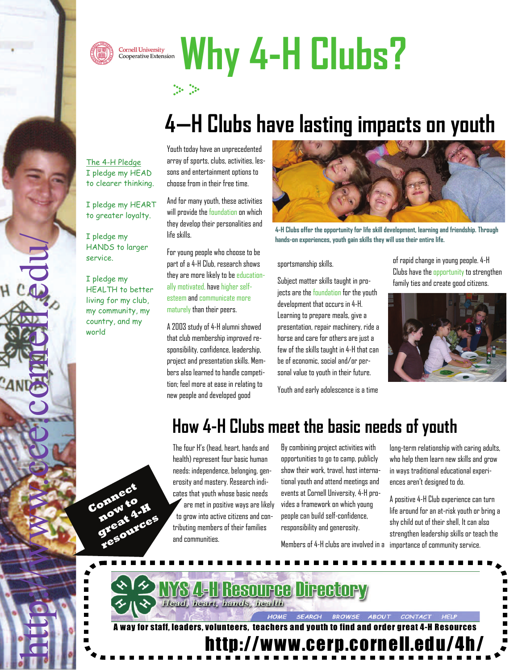



# Cornell University<br>Cooperative Extension Why 4-H Clubs?



## **4—H Clubs have lasting impacts on youth**

The 4-H Pledge I pledge my HEAD to clearer thinking.

I pledge my HEART to greater loyalty.

I pledge my HANDS to larger service.

I pledge my HEALTH to better living for my club, my community, my country, and my world

**Connect**

**now to great 4-H resources** Youth today have an unprecedented array of sports, clubs, activities, lessons and entertainment options to choose from in their free time.

And for many youth, these activities will provide the foundation on which they develop their personalities and life skills.

For young people who choose to be part of a 4-H Club, research shows they are more likely to be educationally motivated, have higher selfesteem and communicate more maturely than their peers.

A 2003 study of 4-H alumni showed that club membership improved responsibility, confidence, leadership, project and presentation skills. Members also learned to handle competition; feel more at ease in relating to new people and developed good



**4-H Clubs offer the opportunity for life skill development, learning and friendship. Through hands-on experiences, youth gain skills they will use their entire life.** 

sportsmanship skills.

Subject matter skills taught in projects are the foundation for the youth development that occurs in 4-H. Learning to prepare meals, give a presentation, repair machinery, ride a horse and care for others are just a few of the skills taught in 4-H that can be of economic, social and/or personal value to youth in their future.

Youth and early adolescence is a time

of rapid change in young people. 4-H Clubs have the opportunity to strengthen family ties and create good citizens.



#### **How 4-H Clubs meet the basic needs of youth**

The four H's (head, heart, hands and health) represent four basic human needs: independence, belonging, generosity and mastery. Research indicates that youth whose basic needs are met in positive ways are likely to grow into active citizens and contributing members of their families and communities.

By combining project activities with opportunities to go to camp, publicly show their work, travel, host international youth and attend meetings and events at Cornell University, 4-H provides a framework on which young people can build self-confidence, responsibility and generosity.

Members of 4-H clubs are involved in a

long-term relationship with caring adults, who help them learn new skills and grow in ways traditional educational experiences aren't designed to do.

A positive 4-H Club experience can turn life around for an at-risk youth or bring a shy child out of their shell, It can also strengthen leadership skills or teach the importance of community service.